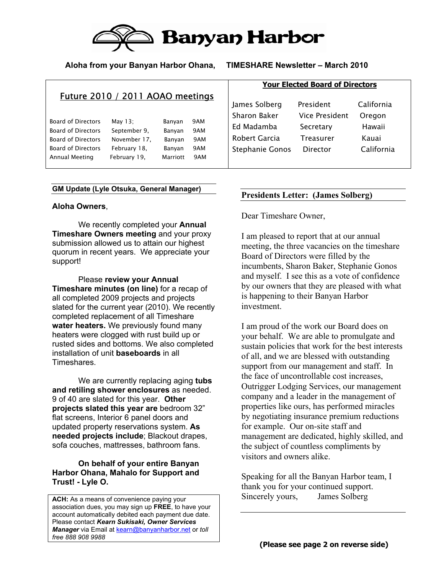

**Aloha from your Banyan Harbor Ohana, TIMESHARE Newsletter – March 2010** 

# Future 2010 / 2011 AOAO meetings

| <b>Board of Directors</b> | May $13$ :   | Banyan   | 9AM |
|---------------------------|--------------|----------|-----|
| <b>Board of Directors</b> | September 9, | Banyan   | 9AM |
| <b>Board of Directors</b> | November 17. | Banyan   | 9AM |
| <b>Board of Directors</b> | February 18. | Banyan   | 9AM |
| Annual Meeting            | February 19, | Marriott | 9AM |

### **GM Update (Lyle Otsuka, General Manager)**

#### **Aloha Owners**,

 We recently completed your **Annual Timeshare Owners meeting** and your proxy submission allowed us to attain our highest quorum in recent years. We appreciate your support!

Please **review your Annual Timeshare minutes (on line)** for a recap of all completed 2009 projects and projects slated for the current year (2010). We recently completed replacement of all Timeshare **water heaters.** We previously found many heaters were clogged with rust build up or rusted sides and bottoms. We also completed installation of unit **baseboards** in all Timeshares.

We are currently replacing aging **tubs and retiling shower enclosures** as needed. 9 of 40 are slated for this year. **Other projects slated this year are** bedroom 32" flat screens, Interior 6 panel doors and updated property reservations system. **As needed projects include**; Blackout drapes, sofa couches, mattresses, bathroom fans.

### **On behalf of your entire Banyan Harbor Ohana, Mahalo for Support and Trust! - Lyle O.**

**ACH:** As a means of convenience paying your association dues, you may sign up **FREE**, to have your account automatically debited each payment due date. Please contact *Kearn Sukisaki, Owner Services Manager* via Email at kearn@banyanharbor.net or *toll free 888 908 9988*

## **Your Elected Board of Directors**

| James Solberg          | President        | California |
|------------------------|------------------|------------|
| Sharon Baker           | Vice President   | Oregon     |
| Ed Madamba             | Secretary        | Hawaii     |
| Robert Garcia          | <b>Treasurer</b> | Kauai      |
| <b>Stephanie Gonos</b> | Director         | California |
|                        |                  |            |

### **Presidents Letter: (James Solberg)**

Dear Timeshare Owner,

I am pleased to report that at our annual meeting, the three vacancies on the timeshare Board of Directors were filled by the incumbents, Sharon Baker, Stephanie Gonos and myself. I see this as a vote of confidence by our owners that they are pleased with what is happening to their Banyan Harbor investment.

I am proud of the work our Board does on your behalf. We are able to promulgate and sustain policies that work for the best interests of all, and we are blessed with outstanding support from our management and staff. In the face of uncontrollable cost increases, Outrigger Lodging Services, our management company and a leader in the management of properties like ours, has performed miracles by negotiating insurance premium reductions for example. Our on-site staff and management are dedicated, highly skilled, and the subject of countless compliments by visitors and owners alike.

Speaking for all the Banyan Harbor team, I thank you for your continued support. Sincerely yours, James Solberg